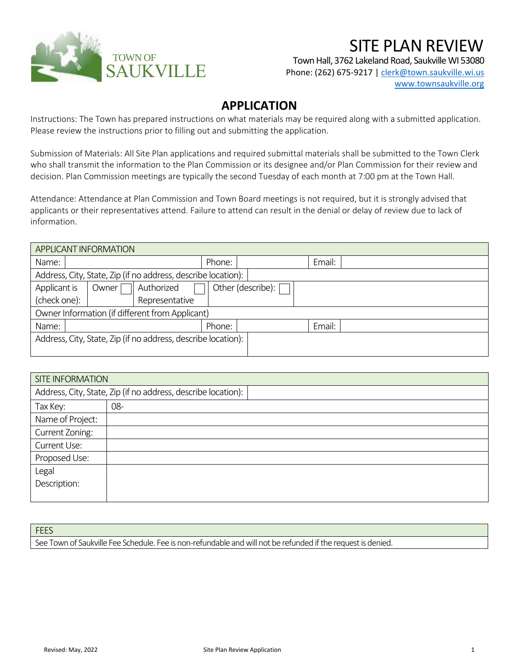

Town Hall, 3762 Lakeland Road, Saukville WI 53080 Phone: (262) 675-9217 [| clerk@town.saukville.wi.us](mailto:clerk@town.saukville.wi.us) [www.townsaukville.org](http://www.townsaukville.org/)

## **APPLICATION**

Instructions: The Town has prepared instructions on what materials may be required along with a submitted application. Please review the instructions prior to filling out and submitting the application.

Submission of Materials: All Site Plan applications and required submittal materials shall be submitted to the Town Clerk who shall transmit the information to the Plan Commission or its designee and/or Plan Commission for their review and decision. Plan Commission meetings are typically the second Tuesday of each month at 7:00 pm at the Town Hall.

Attendance: Attendance at Plan Commission and Town Board meetings is not required, but it is strongly advised that applicants or their representatives attend. Failure to attend can result in the denial or delay of review due to lack of information.

| APPLICANT INFORMATION                                         |                   |  |        |  |  |  |
|---------------------------------------------------------------|-------------------|--|--------|--|--|--|
| Name:                                                         | Phone:            |  | Email: |  |  |  |
| Address, City, State, Zip (if no address, describe location): |                   |  |        |  |  |  |
| Authorized<br>Applicant is<br>Owner                           | Other (describe): |  |        |  |  |  |
| (check one):<br>Representative                                |                   |  |        |  |  |  |
| Owner Information (if different from Applicant)               |                   |  |        |  |  |  |
| Name:                                                         | Phone:            |  | Email: |  |  |  |
| Address, City, State, Zip (if no address, describe location): |                   |  |        |  |  |  |
|                                                               |                   |  |        |  |  |  |

| <b>SITE INFORMATION</b>                                       |     |  |  |  |
|---------------------------------------------------------------|-----|--|--|--|
| Address, City, State, Zip (if no address, describe location): |     |  |  |  |
| Tax Key:                                                      | 08- |  |  |  |
| Name of Project:                                              |     |  |  |  |
| Current Zoning:                                               |     |  |  |  |
| Current Use:                                                  |     |  |  |  |
| Proposed Use:                                                 |     |  |  |  |
| Legal                                                         |     |  |  |  |
| Description:                                                  |     |  |  |  |
|                                                               |     |  |  |  |

**FEES** See Town of Saukville Fee Schedule. Fee is non-refundable and will not be refunded if the request is denied.